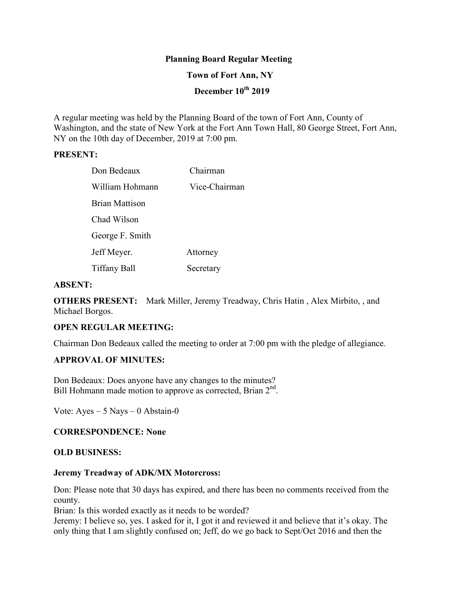## **Planning Board Regular Meeting**

### **Town of Fort Ann, NY**

# **December 10th 2019**

A regular meeting was held by the Planning Board of the town of Fort Ann, County of Washington, and the state of New York at the Fort Ann Town Hall, 80 George Street, Fort Ann, NY on the 10th day of December, 2019 at 7:00 pm.

### **PRESENT:**

| Don Bedeaux     | Chairman      |
|-----------------|---------------|
| William Hohmann | Vice-Chairman |
| Brian Mattison  |               |
| Chad Wilson     |               |
| George F. Smith |               |
| Jeff Meyer.     | Attorney      |
| Tiffany Ball    | Secretary     |

#### **ABSENT:**

**OTHERS PRESENT:** Mark Miller, Jeremy Treadway, Chris Hatin , Alex Mirbito, , and Michael Borgos.

## **OPEN REGULAR MEETING:**

Chairman Don Bedeaux called the meeting to order at 7:00 pm with the pledge of allegiance.

## **APPROVAL OF MINUTES:**

Don Bedeaux: Does anyone have any changes to the minutes? Bill Hohmann made motion to approve as corrected, Brian 2<sup>nd</sup>.

Vote:  $Ayes - 5$  Nays  $-0$  Abstain-0

## **CORRESPONDENCE: None**

#### **OLD BUSINESS:**

#### **Jeremy Treadway of ADK/MX Motorcross:**

Don: Please note that 30 days has expired, and there has been no comments received from the county.

Brian: Is this worded exactly as it needs to be worded?

Jeremy: I believe so, yes. I asked for it, I got it and reviewed it and believe that it's okay. The only thing that I am slightly confused on; Jeff, do we go back to Sept/Oct 2016 and then the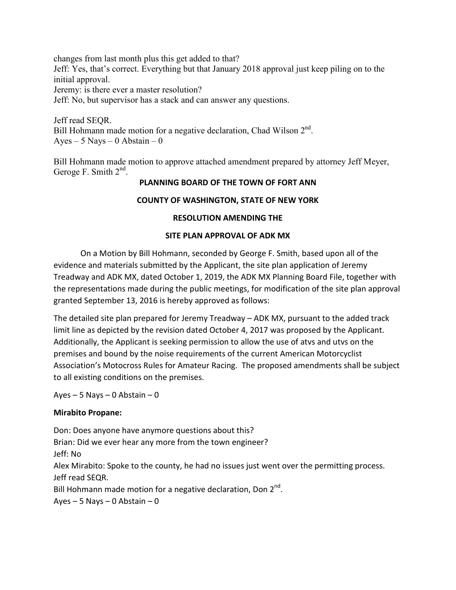changes from last month plus this get added to that? Jeff: Yes, that's correct. Everything but that January 2018 approval just keep piling on to the initial approval. Jeremy: is there ever a master resolution? Jeff: No, but supervisor has a stack and can answer any questions.

Jeff read SEQR. Bill Hohmann made motion for a negative declaration, Chad Wilson 2<sup>nd</sup>. Ayes – 5 Nays – 0 Abstain – 0

Bill Hohmann made motion to approve attached amendment prepared by attorney Jeff Meyer, Geroge F. Smith  $2<sup>nd</sup>$ .

## **PLANNING BOARD OF THE TOWN OF FORT ANN**

## **COUNTY OF WASHINGTON, STATE OF NEW YORK**

## **RESOLUTION AMENDING THE**

## **SITE PLAN APPROVAL OF ADK MX**

the representations made during the public meetings, for modification of the site plan approval On a Motion by Bill Hohmann, seconded by George F. Smith, based upon all of the evidence and materials submitted by the Applicant, the site plan application of Jeremy Treadway and ADK MX, dated October 1, 2019, the ADK MX Planning Board File, together with granted September 13, 2016 is hereby approved as follows:

The detailed site plan prepared for Jeremy Treadway – ADK MX, pursuant to the added track limit line as depicted by the revision dated October 4, 2017 was proposed by the Applicant. Additionally, the Applicant is seeking permission to allow the use of atvs and utvs on the premises and bound by the noise requirements of the current American Motorcyclist Association's Motocross Rules for Amateur Racing. The proposed amendments shall be subject to all existing conditions on the premises.

Ayes  $-5$  Nays  $-0$  Abstain  $-0$ 

## **Mirabito Propane:**

Don: Does anyone have anymore questions about this? Brian: Did we ever hear any more from the town engineer? Jeff: No Alex Mirabito: Spoke to the county, he had no issues just went over the permitting process. Jeff read SEQR. Bill Hohmann made motion for a negative declaration, Don 2<sup>nd</sup>. Ayes  $-5$  Nays  $-0$  Abstain  $-0$